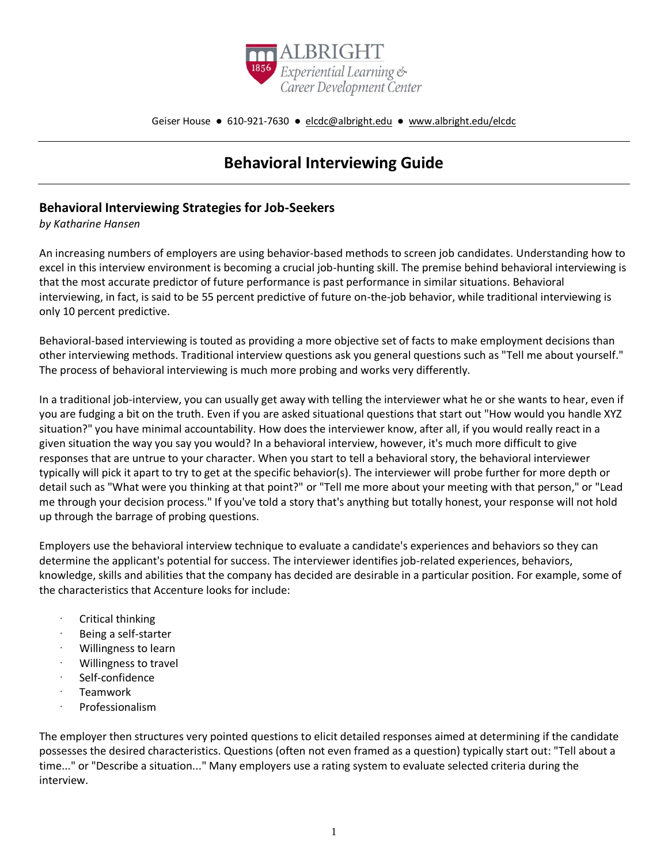

Geiser House ● 610-921-7630 ● [elcdc@albright.edu](mailto:elcdc@albright.edu) ● [www.albright.edu/elcdc](http://www.albright.edu/elcdc) 

## **Behavioral Interviewing Guide**

## **Behavioral Interviewing Strategies for Job-Seekers**

*by Katharine Hansen*

An increasing numbers of employers are using behavior-based methods to screen job candidates. Understanding how to excel in this interview environment is becoming a crucial job-hunting skill. The premise behind behavioral interviewing is that the most accurate predictor of future performance is past performance in similar situations. Behavioral interviewing, in fact, is said to be 55 percent predictive of future on-the-job behavior, while traditional interviewing is only 10 percent predictive.

Behavioral-based interviewing is touted as providing a more objective set of facts to make employment decisions than other interviewing methods. Traditional interview questions ask you general questions such as "Tell me about yourself." The process of behavioral interviewing is much more probing and works very differently.

In a traditional job-interview, you can usually get away with telling the interviewer what he or she wants to hear, even if you are fudging a bit on the truth. Even if you are asked situational questions that start out "How would you handle XYZ situation?" you have minimal accountability. How does the interviewer know, after all, if you would really react in a given situation the way you say you would? In a behavioral interview, however, it's much more difficult to give responses that are untrue to your character. When you start to tell a behavioral story, the behavioral interviewer typically will pick it apart to try to get at the specific behavior(s). The interviewer will probe further for more depth or detail such as "What were you thinking at that point?" or "Tell me more about your meeting with that person," or "Lead me through your decision process." If you've told a story that's anything but totally honest, your response will not hold up through the barrage of probing questions.

Employers use the behavioral interview technique to evaluate a candidate's experiences and behaviors so they can determine the applicant's potential for success. The interviewer identifies job-related experiences, behaviors, knowledge, skills and abilities that the company has decided are desirable in a particular position. For example, some of the characteristics that Accenture looks for include:

- Critical thinking
- Being a self-starter
- Willingness to learn
- Willingness to travel
- Self-confidence
- Teamwork
- Professionalism

The employer then structures very pointed questions to elicit detailed responses aimed at determining if the candidate possesses the desired characteristics. Questions (often not even framed as a question) typically start out: "Tell about a time..." or "Describe a situation..." Many employers use a rating system to evaluate selected criteria during the interview.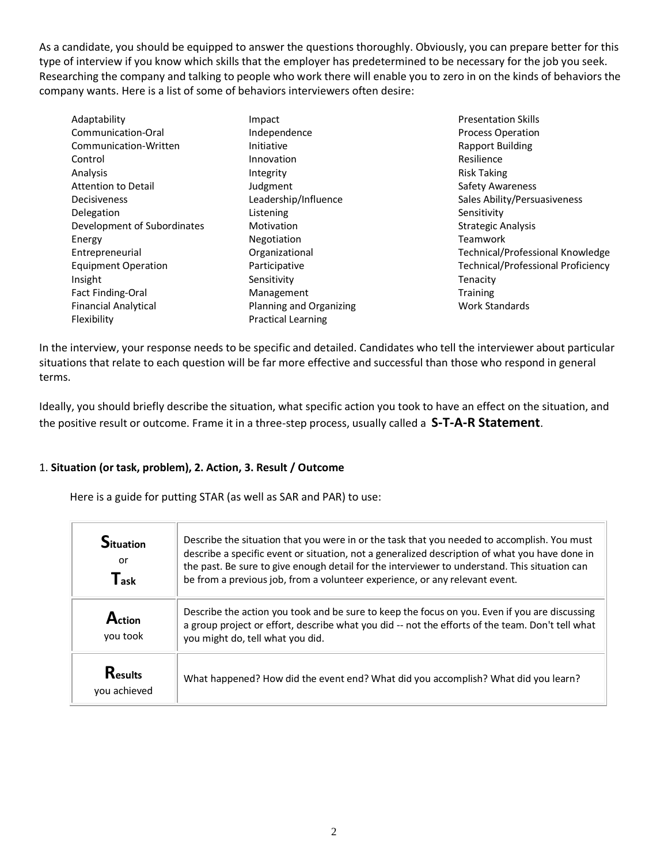As a candidate, you should be equipped to answer the questions thoroughly. Obviously, you can prepare better for this type of interview if you know which skills that the employer has predetermined to be necessary for the job you seek. Researching the company and talking to people who work there will enable you to zero in on the kinds of behaviors the company wants. Here is a list of some of behaviors interviewers often desire:

Adaptability Communication-Oral Communication-Written Control Analysis Attention to Detail Decisiveness Delegation Development of Subordinates Energy Entrepreneurial Equipment Operation Insight Fact Finding-Oral Financial Analytical Flexibility

Impact Independence Initiative Innovation Integrity Judgment Leadership/Influence Listening Motivation Negotiation Organizational Participative Sensitivity Management Planning and Organizing Practical Learning

Presentation Skills Process Operation Rapport Building Resilience Risk Taking Safety Awareness Sales Ability/Persuasiveness Sensitivity Strategic Analysis Teamwork Technical/Professional Knowledge Technical/Professional Proficiency Tenacity **Training** Work Standards

In the interview, your response needs to be specific and detailed. Candidates who tell the interviewer about particular situations that relate to each question will be far more effective and successful than those who respond in general terms.

Ideally, you should briefly describe the situation, what specific action you took to have an effect on the situation, and the positive result or outcome. Frame it in a three-step process, usually called a **S-T-A-R Statement**.

## 1. **Situation (or task, problem), 2. Action, 3. Result / Outcome**

Here is a guide for putting STAR (as well as SAR and PAR) to use:

| <b>Situation</b><br>or<br>$\mathsf{T}_{\mathsf{ask}}$ | Describe the situation that you were in or the task that you needed to accomplish. You must<br>describe a specific event or situation, not a generalized description of what you have done in<br>the past. Be sure to give enough detail for the interviewer to understand. This situation can<br>be from a previous job, from a volunteer experience, or any relevant event. |
|-------------------------------------------------------|-------------------------------------------------------------------------------------------------------------------------------------------------------------------------------------------------------------------------------------------------------------------------------------------------------------------------------------------------------------------------------|
| Action<br>you took                                    | Describe the action you took and be sure to keep the focus on you. Even if you are discussing<br>a group project or effort, describe what you did -- not the efforts of the team. Don't tell what<br>you might do, tell what you did.                                                                                                                                         |
| Results<br>you achieved                               | What happened? How did the event end? What did you accomplish? What did you learn?                                                                                                                                                                                                                                                                                            |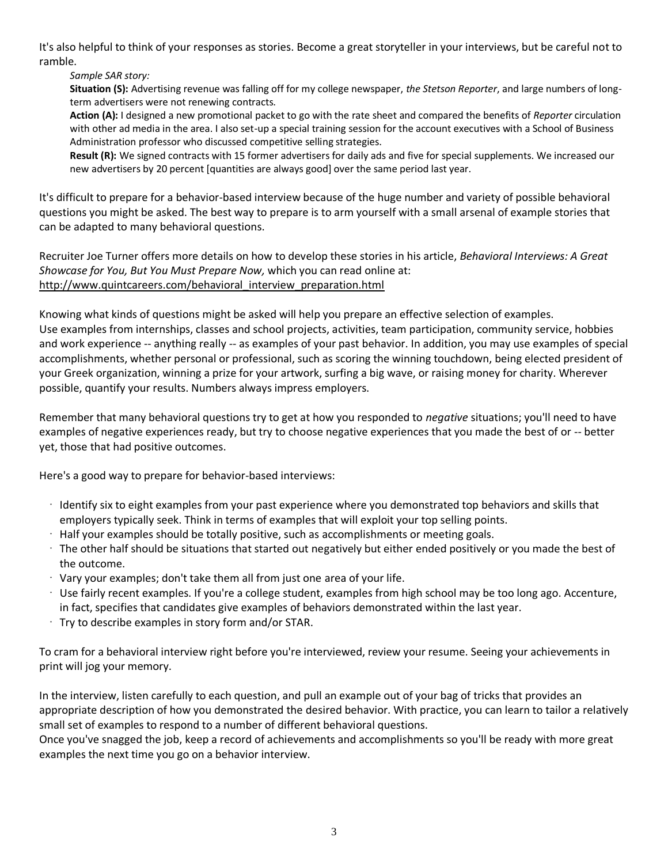It's also helpful to think of your responses as stories. Become a great storyteller in your interviews, but be careful not to ramble.

*Sample SAR story:*

**Situation (S):** Advertising revenue was falling off for my college newspaper, *the Stetson Reporter*, and large numbers of longterm advertisers were not renewing contracts.

**Action (A):** I designed a new promotional packet to go with the rate sheet and compared the benefits of *Reporter* circulation with other ad media in the area. I also set-up a special training session for the account executives with a School of Business Administration professor who discussed competitive selling strategies.

**Result (R):** We signed contracts with 15 former advertisers for daily ads and five for special supplements. We increased our new advertisers by 20 percent [quantities are always good] over the same period last year.

It's difficult to prepare for a behavior-based interview because of the huge number and variety of possible behavioral questions you might be asked. The best way to prepare is to arm yourself with a small arsenal of example stories that can be adapted to many behavioral questions.

Recruiter Joe Turner offers more details on how to develop these stories in his article, *[Behavioral Interviews: A Great](http://www.quintcareers.com/behavioral_interview_preparation.html)  [Showcase for You, But You Must Prepare Now,](http://www.quintcareers.com/behavioral_interview_preparation.html)* which you can read online at: [http://www.quintcareers.com/behavioral\\_interview\\_preparation.html](http://www.quintcareers.com/behavioral_interview_preparation.html)

Knowing what kinds of questions might be asked will help you prepare an effective selection of examples.

Use examples from internships, classes and school projects, activities, team participation, community service, hobbies and work experience -- anything really -- as examples of your past behavior. In addition, you may use examples of special accomplishments, whether personal or professional, such as scoring the winning touchdown, being elected president of your Greek organization, winning a prize for your artwork, surfing a big wave, or raising money for charity. Wherever possible, quantify your results. Numbers always impress employers.

Remember that many behavioral questions try to get at how you responded to *negative* situations; you'll need to have examples of negative experiences ready, but try to choose negative experiences that you made the best of or -- better yet, those that had positive outcomes.

Here's a good way to prepare for behavior-based interviews:

- $\cdot$  Identify six to eight examples from your past experience where you demonstrated top behaviors and skills that employers typically seek. Think in terms of examples that will exploit your top selling points.
- $\cdot$  Half your examples should be totally positive, such as accomplishments or meeting goals.
- $\cdot$  The other half should be situations that started out negatively but either ended positively or you made the best of the outcome.
- $\cdot$  Vary your examples; don't take them all from just one area of your life.
- $\cdot$  Use fairly recent examples. If you're a college student, examples from high school may be too long ago. Accenture, in fact, specifies that candidates give examples of behaviors demonstrated within the last year.
- $\cdot$  Try to describe examples in story form and/or STAR.

To cram for a behavioral interview right before you're interviewed, review your resume. Seeing your achievements in print will jog your memory.

In the interview, listen carefully to each question, and pull an example out of your bag of tricks that provides an appropriate description of how you demonstrated the desired behavior. With practice, you can learn to tailor a relatively small set of examples to respond to a number of different behavioral questions.

Once you've snagged the job, keep a record of achievements and accomplishments so you'll be ready with more great examples the next time you go on a behavior interview.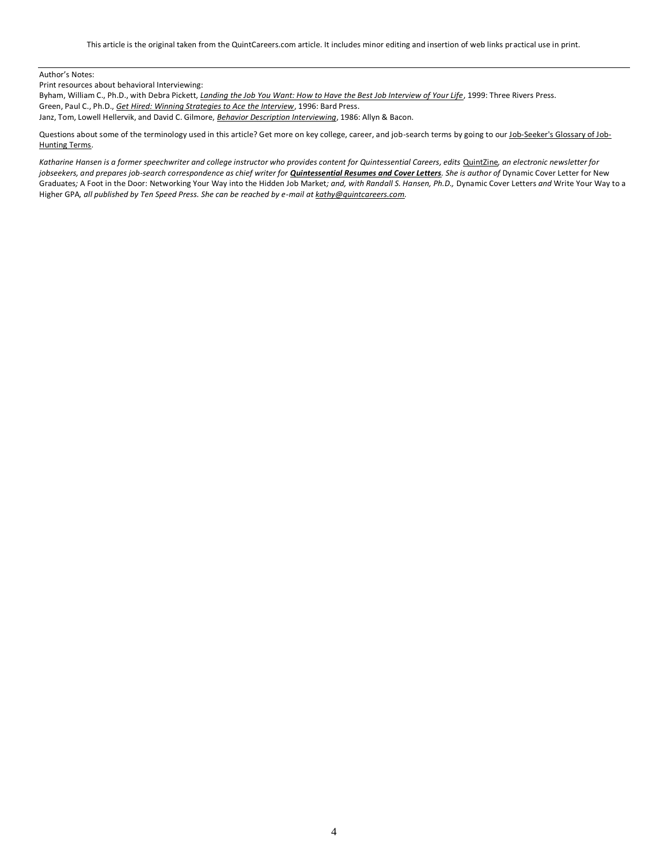Author's Notes:

Print resources about behavioral Interviewing:

Byham, William C., Ph.D., with Debra Pickett, *[Landing the Job You Want: How to Have the Best Job Interview of Your Life](http://www.amazon.com/exec/obidos/ISBN=0609804081/dynamiccoverlettA/)*, 1999: Three Rivers Press. Green, Paul C., Ph.D., *[Get Hired: Winning Strategies to Ace the Interview](http://www.amazon.com/exec/obidos/ISBN=1885167148/dynamiccoverlettA/)*, 1996: Bard Press.

Janz, Tom, Lowell Hellervik, and David C. Gilmore, *[Behavior Description Interviewing](http://www.amazon.com/exec/obidos/ISBN=0205085970/dynamiccoverlettA/)*, 1986: Allyn & Bacon.

Questions about some of the terminology used in this article? Get more on key college, career, and job-search terms by going to ou[r Job-Seeker's Glossary of Job-](http://www.quintcareers.com/jobseeker_glossary.html)[Hunting Terms.](http://www.quintcareers.com/jobseeker_glossary.html) 

*Katharine Hansen is a former speechwriter and college instructor who provides content for Quintessential Careers, edits* [QuintZine](http://www.quintcareers.com/QuintZine/)*, an electronic newsletter for*  jobseekers, and prepares job-search correspondence as chief writer for *[Quintessential Resumes and Cover Letters](http://www.resumesandcoverletters.com/)*. She is author of Dynamic Cover Letter for New Graduates*;* A Foot in the Door: Networking Your Way into the Hidden Job Market*; and, with Randall S. Hansen, Ph.D.,* Dynamic Cover Letters *and* Write Your Way to a Higher GPA*, all published by Ten Speed Press. She can be reached by e-mail a[t kathy@quintcareers.com.](mailto:kathy@quintcareers.com)*